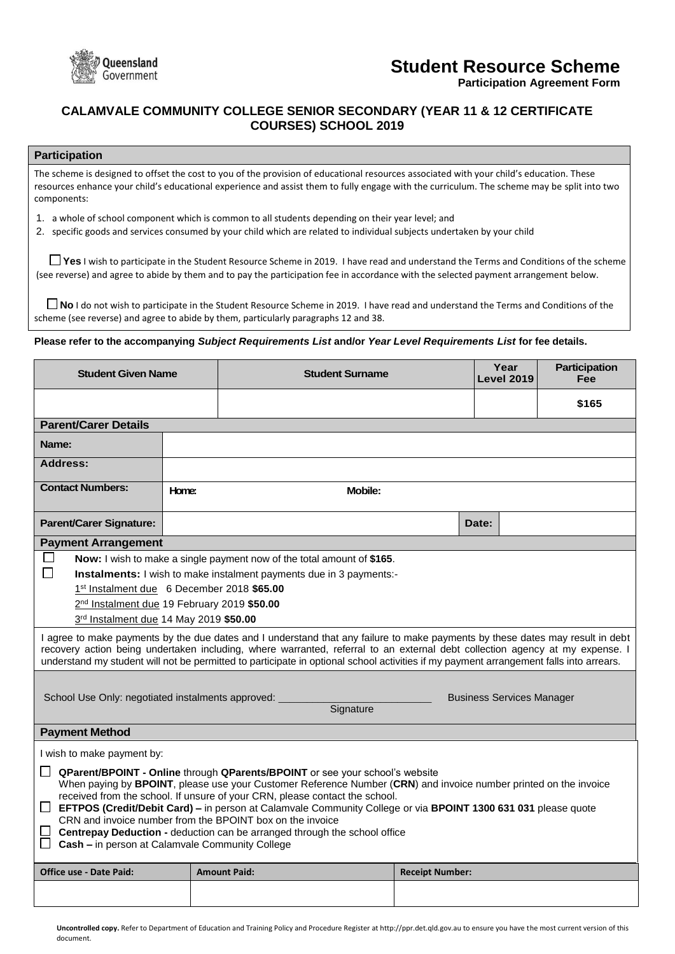

# **Student Resource Scheme**

**Participation Agreement Form**

# **CALAMVALE COMMUNITY COLLEGE SENIOR SECONDARY (YEAR 11 & 12 CERTIFICATE COURSES) SCHOOL 2019**

## **Participation**

The scheme is designed to offset the cost to you of the provision of educational resources associated with your child's education. These resources enhance your child's educational experience and assist them to fully engage with the curriculum. The scheme may be split into two components:

1. a whole of school component which is common to all students depending on their year level; and

2. specific goods and services consumed by your child which are related to individual subjects undertaken by your child

**Yes** I wish to participate in the Student Resource Scheme in 2019. I have read and understand the Terms and Conditions of the scheme (see reverse) and agree to abide by them and to pay the participation fee in accordance with the selected payment arrangement below.

**No** I do not wish to participate in the Student Resource Scheme in 2019. I have read and understand the Terms and Conditions of the scheme (see reverse) and agree to abide by them, particularly paragraphs 12 and 38.

### **Please refer to the accompanying** *Subject Requirements List* **and/or** *Year Level Requirements List* **for fee details.**

| <b>Student Given Name</b>                                                                                                                                                                                                                                                                                                                                                                                                                                                                                                                                                                                                    |       | <b>Student Surname</b> |                        | Year<br><b>Level 2019</b> | Participation<br>Fee |
|------------------------------------------------------------------------------------------------------------------------------------------------------------------------------------------------------------------------------------------------------------------------------------------------------------------------------------------------------------------------------------------------------------------------------------------------------------------------------------------------------------------------------------------------------------------------------------------------------------------------------|-------|------------------------|------------------------|---------------------------|----------------------|
|                                                                                                                                                                                                                                                                                                                                                                                                                                                                                                                                                                                                                              |       |                        |                        |                           | \$165                |
| <b>Parent/Carer Details</b>                                                                                                                                                                                                                                                                                                                                                                                                                                                                                                                                                                                                  |       |                        |                        |                           |                      |
| Name:                                                                                                                                                                                                                                                                                                                                                                                                                                                                                                                                                                                                                        |       |                        |                        |                           |                      |
| <b>Address:</b>                                                                                                                                                                                                                                                                                                                                                                                                                                                                                                                                                                                                              |       |                        |                        |                           |                      |
| <b>Contact Numbers:</b>                                                                                                                                                                                                                                                                                                                                                                                                                                                                                                                                                                                                      | Home: | <b>Mobile:</b>         |                        |                           |                      |
| <b>Parent/Carer Signature:</b>                                                                                                                                                                                                                                                                                                                                                                                                                                                                                                                                                                                               |       |                        |                        | Date:                     |                      |
| <b>Payment Arrangement</b>                                                                                                                                                                                                                                                                                                                                                                                                                                                                                                                                                                                                   |       |                        |                        |                           |                      |
| ப<br>Now: I wish to make a single payment now of the total amount of \$165.                                                                                                                                                                                                                                                                                                                                                                                                                                                                                                                                                  |       |                        |                        |                           |                      |
| $\Box$<br>Instalments: I wish to make instalment payments due in 3 payments:-                                                                                                                                                                                                                                                                                                                                                                                                                                                                                                                                                |       |                        |                        |                           |                      |
| 1 <sup>st</sup> Instalment due 6 December 2018 \$65.00                                                                                                                                                                                                                                                                                                                                                                                                                                                                                                                                                                       |       |                        |                        |                           |                      |
| 2nd Instalment due 19 February 2019 \$50.00                                                                                                                                                                                                                                                                                                                                                                                                                                                                                                                                                                                  |       |                        |                        |                           |                      |
| 3rd Instalment due 14 May 2019 \$50.00                                                                                                                                                                                                                                                                                                                                                                                                                                                                                                                                                                                       |       |                        |                        |                           |                      |
| I agree to make payments by the due dates and I understand that any failure to make payments by these dates may result in debt<br>recovery action being undertaken including, where warranted, referral to an external debt collection agency at my expense. I<br>understand my student will not be permitted to participate in optional school activities if my payment arrangement falls into arrears.                                                                                                                                                                                                                     |       |                        |                        |                           |                      |
| School Use Only: negotiated instalments approved:<br><b>Business Services Manager</b><br>Signature                                                                                                                                                                                                                                                                                                                                                                                                                                                                                                                           |       |                        |                        |                           |                      |
| <b>Payment Method</b>                                                                                                                                                                                                                                                                                                                                                                                                                                                                                                                                                                                                        |       |                        |                        |                           |                      |
| I wish to make payment by:                                                                                                                                                                                                                                                                                                                                                                                                                                                                                                                                                                                                   |       |                        |                        |                           |                      |
| $\Box$<br>QParent/BPOINT - Online through QParents/BPOINT or see your school's website<br>When paying by BPOINT, please use your Customer Reference Number (CRN) and invoice number printed on the invoice<br>received from the school. If unsure of your CRN, please contact the school.<br>$\Box$ EFTPOS (Credit/Debit Card) – in person at Calamvale Community College or via BPOINT 1300 631 031 please quote<br>CRN and invoice number from the BPOINT box on the invoice<br>$\Box$ Centrepay Deduction - deduction can be arranged through the school office<br>$\Box$ Cash - in person at Calamvale Community College |       |                        |                        |                           |                      |
| <b>Office use - Date Paid:</b>                                                                                                                                                                                                                                                                                                                                                                                                                                                                                                                                                                                               |       | <b>Amount Paid:</b>    | <b>Receipt Number:</b> |                           |                      |
|                                                                                                                                                                                                                                                                                                                                                                                                                                                                                                                                                                                                                              |       |                        |                        |                           |                      |